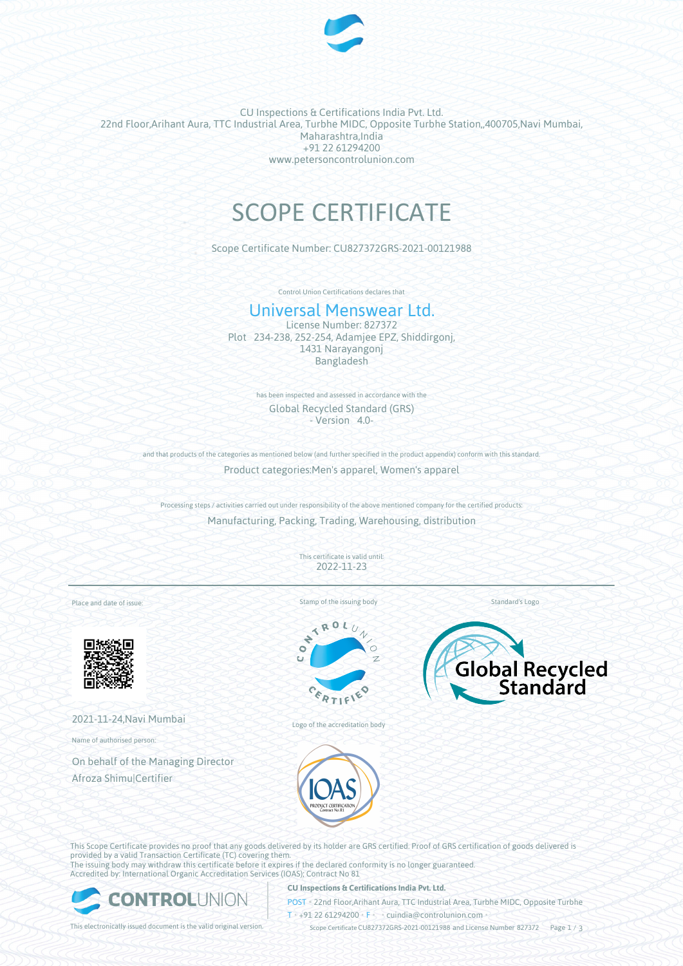

CU Inspections & Certifications India Pvt. Ltd. 22nd Floor,Arihant Aura, TTC Industrial Area, Turbhe MIDC, Opposite Turbhe Station,,400705,Navi Mumbai, Maharashtra,India +91 22 61294200 www.petersoncontrolunion.com

# SCOPE CERTIFICATE

Scope Certificate Number: CU827372GRS-2021-00121988

Control Union Certifications declares that

# Universal Menswear Ltd.

License Number: 827372 Plot 234-238, 252-254, Adamjee EPZ, Shiddirgonj, 1431 Narayangonj Bangladesh

> has been inspected and assessed in accordance with the Global Recycled Standard (GRS) - Version 4.0-

and that products of the categories as mentioned below (and further specified in the product appendix) conform with this standard Product categories:Men's apparel, Women's apparel

Processing steps / activities carried out under responsibility of the above mentioned company for the certified products: Manufacturing, Packing, Trading, Warehousing, distribution

> This certificate is valid until: 2022-11-23

Place and date of issue:



2021-11-24,Navi Mumbai

Name of authorised person:

On behalf of the Managing Director Afroza Shimu|Certifier



 $x_0$ 

Standard's Logo



Logo of the accreditation body



This Scope Certificate provides no proof that any goods delivered by its holder are GRS certified. Proof of GRS certification of goods delivered is provided by a valid Transaction Certificate (TC) covering them. The issuing body may withdraw this certificate before it expires if the declared conformity is no longer guaranteed. Accredited by: International Organic Accreditation Services (IOAS); Contract No 81



#### **CU Inspections & Certifications India Pvt. Ltd.**

POST • 22nd Floor,Arihant Aura, TTC Industrial Area, Turbhe MIDC, Opposite Turbhe  $T* + 91 22 61294200$  **F**  $\cdot$  cuindia @controlunion.com •

This electronically issued document is the valid original version.  $\gtrsim$  Scope Certificate CU827372GRS-2021-00121988 and License Number 827372 Page 1 / 3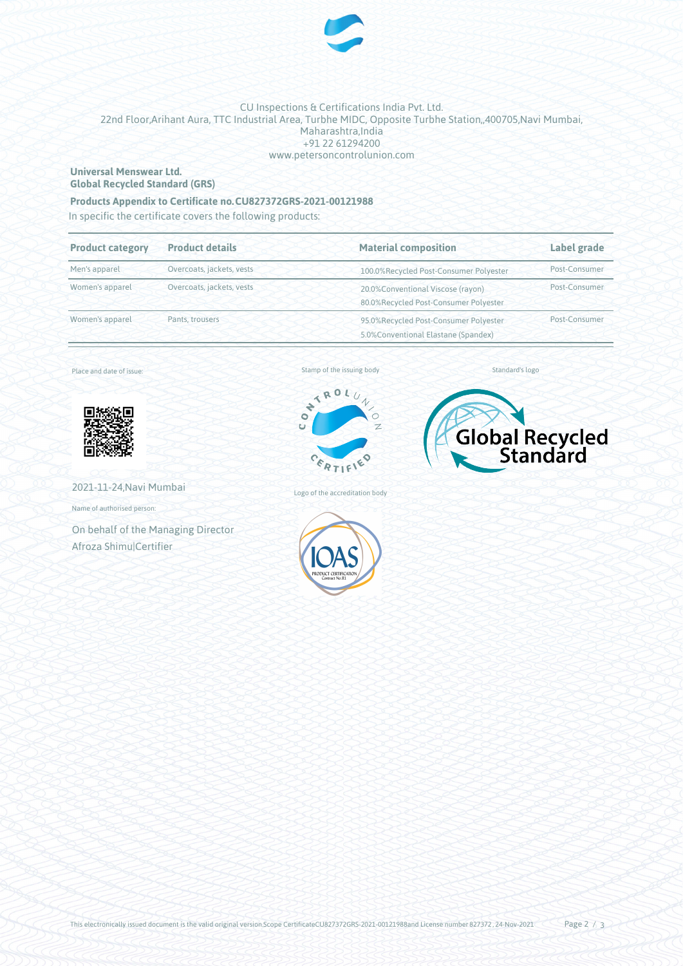

## CU Inspections & Certifications India Pvt. Ltd. 22nd Floor,Arihant Aura, TTC Industrial Area, Turbhe MIDC, Opposite Turbhe Station,,400705,Navi Mumbai, Maharashtra,India +91 22 61294200 www.petersoncontrolunion.com

### **Universal Menswear Ltd. Global Recycled Standard (GRS)**

# **Products Appendix to Certificate no.CU827372GRS-2021-00121988**

In specific the certificate covers the following products:

| <b>Product category</b> | <b>Product details</b>    | <b>Material composition</b>                                                   | Label grade   |
|-------------------------|---------------------------|-------------------------------------------------------------------------------|---------------|
| Men's apparel           | Overcoats, jackets, vests | 100.0%Recycled Post-Consumer Polyester                                        | Post-Consumer |
| Women's apparel         | Overcoats, jackets, vests | 20.0%Conventional Viscose (rayon)<br>80.0%Recycled Post-Consumer Polyester    | Post-Consumer |
| Women's apparel         | Pants, trousers           | 95.0%Recycled Post-Consumer Polyester<br>5.0% Conventional Elastane (Spandex) | Post-Consumer |

Place and date of issue:



Stamp of the issuing body



Standard's logo



2021-11-24,Navi Mumbai

Name of authorised person:

On behalf of the Managing Director Afroza Shimu|Certifier



Logo of the accreditation body